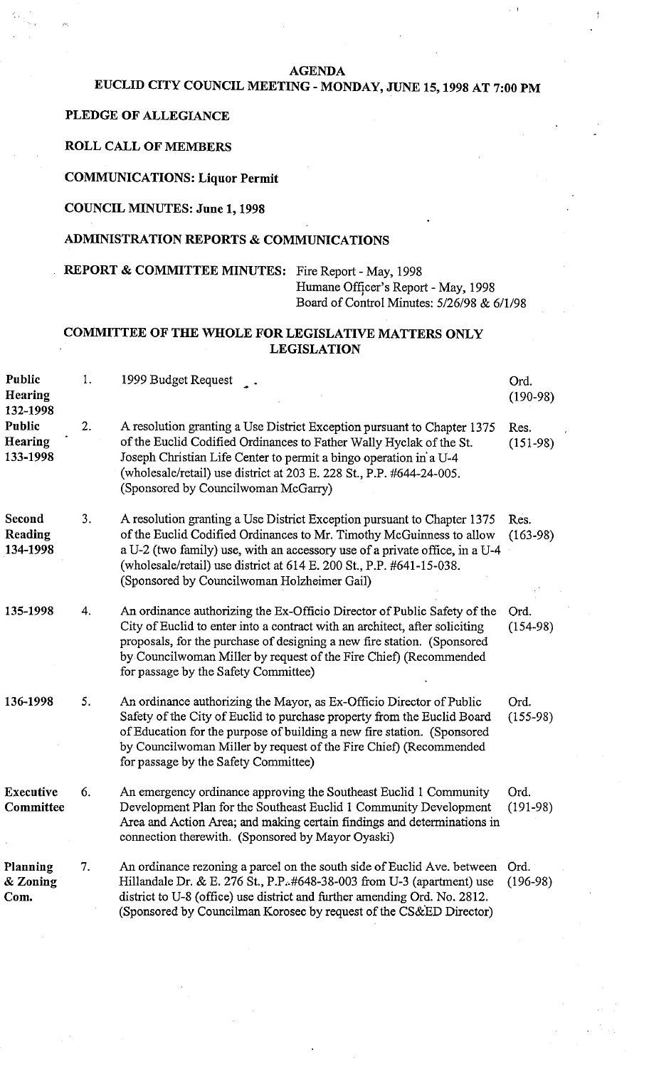#### **AGENDA**

# **EUCLID CITY COUNCIL MEETING** - **MONDAY, JUNE** 15,1998 **AT 7:00 PM**

#### **PLEDGE OF ALLEGIANCE**

**ROLL CALL OF MEMBERS** 

# **COMMUNICATIONS: Liquor Permit**

### **COUNCIL MINUTES: June** 1,1998

### **ADMINISTRATION REPORTS** & **COMMUNICATIONS**

# **REPORT** & **COMMITTEE MINUTES:** Fire Report - May, 1998 Humane Officer's Report - May, 1998 Board of Control Minutes: 5/26/98 & 6/1/98

# **COMMITTEE OF THE WHOLE FOR LEGISLATIVE MATTERS ONLY LEGISLATION**

| <b>Public</b><br>Hearing<br>132-1998 | 1. | 1999 Budget Request                                                                                                                                                                                                                                                                                                                                         | Ord.<br>$(190-98)$ |
|--------------------------------------|----|-------------------------------------------------------------------------------------------------------------------------------------------------------------------------------------------------------------------------------------------------------------------------------------------------------------------------------------------------------------|--------------------|
| <b>Public</b><br>Hearing<br>133-1998 | 2. | A resolution granting a Use District Exception pursuant to Chapter 1375<br>of the Euclid Codified Ordinances to Father Wally Hyclak of the St.<br>Joseph Christian Life Center to permit a bingo operation in a U-4<br>(wholesale/retail) use district at 203 E. 228 St., P.P. #644-24-005.<br>(Sponsored by Councilwoman McGarry)                          | Res.<br>$(151-98)$ |
| Second<br>Reading<br>134-1998        | 3. | A resolution granting a Use District Exception pursuant to Chapter 1375<br>of the Euclid Codified Ordinances to Mr. Timothy McGuinness to allow<br>a U-2 (two family) use, with an accessory use of a private office, in a U-4<br>(wholesale/retail) use district at $614$ E. 200 St., P.P. $\#641-15-038$ .<br>(Sponsored by Councilwoman Holzheimer Gail) | Res.<br>$(163-98)$ |
| 135-1998                             | 4. | An ordinance authorizing the Ex-Officio Director of Public Safety of the<br>City of Euclid to enter into a contract with an architect, after soliciting<br>proposals, for the purchase of designing a new fire station. (Sponsored<br>by Councilwoman Miller by request of the Fire Chief) (Recommended<br>for passage by the Safety Committee)             | Ord.<br>$(154-98)$ |
| 136-1998                             | 5. | An ordinance authorizing the Mayor, as Ex-Officio Director of Public<br>Safety of the City of Euclid to purchase property from the Euclid Board<br>of Education for the purpose of building a new fire station. (Sponsored<br>by Councilwoman Miller by request of the Fire Chief) (Recommended<br>for passage by the Safety Committee)                     | Ord.<br>$(155-98)$ |
| <b>Executive</b><br>Committee        | 6. | An emergency ordinance approving the Southeast Euclid 1 Community<br>Development Plan for the Southeast Euclid 1 Community Development<br>Area and Action Area; and making certain findings and determinations in<br>connection therewith. (Sponsored by Mayor Oyaski)                                                                                      | Ord.<br>$(191-98)$ |
| Planning<br>& Zoning<br>Com.         | 7. | An ordinance rezoning a parcel on the south side of Euclid Ave. between<br>Hillandale Dr. & E. 276 St., P.P. #648-38-003 from U-3 (apartment) use<br>district to U-8 (office) use district and further amending Ord. No. 2812.<br>(Sponsored by Councilman Korosec by request of the CS&ED Director)                                                        | Ord.<br>$(196-98)$ |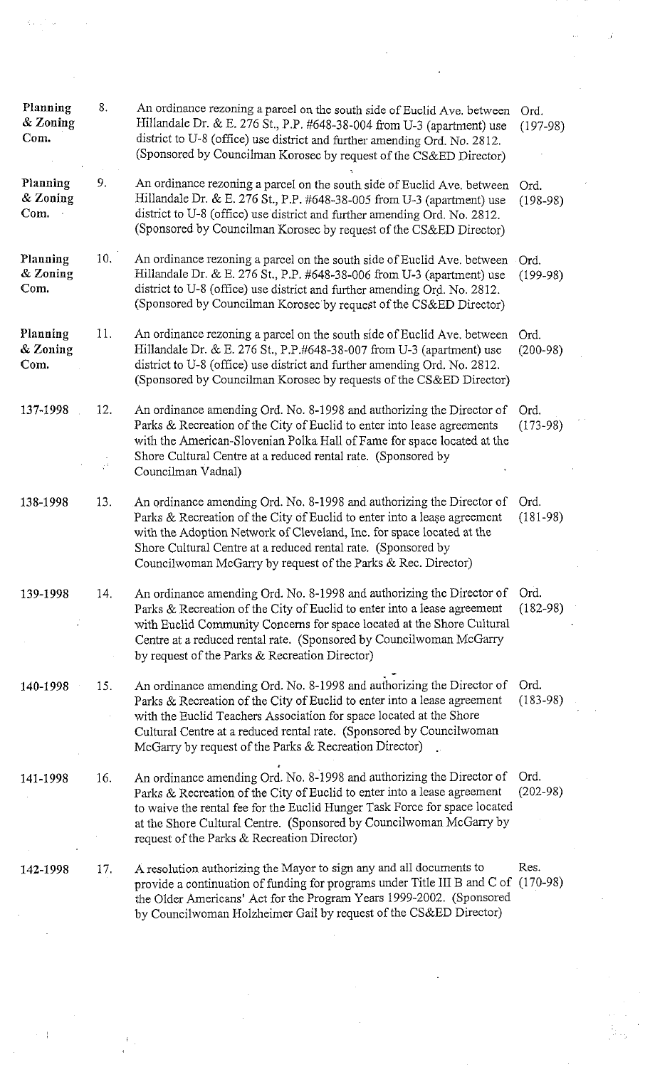| Planning<br>8.<br>An ordinance rezoning a parcel on the south side of Euclid Ave. between<br>Ord.<br>& Zoning<br>Hillandale Dr. & E. 276 St., P.P. #648-38-004 from U-3 (apartment) use<br>$(197-98)$<br>Com.<br>district to U-8 (office) use district and further amending Ord. No. 2812.<br>(Sponsored by Councilman Korosec by request of the CS&ED Director)<br>Planning<br>9.<br>An ordinance rezoning a parcel on the south side of Euclid Ave. between<br>Ord.<br>& Zoning<br>Hillandale Dr. & E. 276 St., P.P. #648-38-005 from U-3 (apartment) use<br>$(198-98)$<br>Com.<br>district to U-8 (office) use district and further amending Ord. No. 2812.<br>(Sponsored by Councilman Korosec by request of the CS&ED Director)<br>Planning<br>10.<br>An ordinance rezoning a parcel on the south side of Euclid Ave. between<br>Ord.<br>& Zoning<br>Hillandale Dr. & E. 276 St., P.P. #648-38-006 from U-3 (apartment) use<br>$(199-98)$<br>Com.<br>district to U-8 (office) use district and further amending Ord. No. 2812.<br>(Sponsored by Councilman Korosec by request of the CS&ED Director)<br>Planning<br>11.<br>An ordinance rezoning a parcel on the south side of Euclid Ave, between<br>Ord.<br>& Zoning<br>Hillandale Dr. & E. 276 St., P.P.#648-38-007 from U-3 (apartment) use<br>$(200-98)$<br>district to U-8 (office) use district and further amending Ord. No. 2812.<br>Com.<br>(Sponsored by Councilman Korosec by requests of the CS&ED Director)<br>137-1998<br>12.<br>An ordinance amending Ord. No. 8-1998 and authorizing the Director of<br>Ord.<br>Parks & Recreation of the City of Euclid to enter into lease agreements<br>$(173 - 98)$<br>with the American-Slovenian Polka Hall of Fame for space located at the<br>Shore Cultural Centre at a reduced rental rate. (Sponsored by<br>Councilman Vadnal)<br>13.<br>An ordinance amending Ord. No. 8-1998 and authorizing the Director of<br>Ord.<br>138-1998<br>Parks & Recreation of the City of Euclid to enter into a lease agreement<br>$(181-98)$<br>with the Adoption Network of Cleveland, Inc. for space located at the<br>Shore Cultural Centre at a reduced rental rate. (Sponsored by<br>Councilwoman McGarry by request of the Parks & Rec. Director)<br>An ordinance amending Ord. No. 8-1998 and authorizing the Director of<br>Ord.<br>139-1998<br>14.<br>$(182 - 98)$<br>Parks & Recreation of the City of Euclid to enter into a lease agreement<br>with Euclid Community Concerns for space located at the Shore Cultural<br>Centre at a reduced rental rate. (Sponsored by Councilwoman McGarry<br>by request of the Parks & Recreation Director)<br>An ordinance amending Ord. No. 8-1998 and authorizing the Director of<br>Ord.<br>140-1998<br>15.<br>$(183-98)$<br>Parks & Recreation of the City of Euclid to enter into a lease agreement<br>with the Euclid Teachers Association for space located at the Shore<br>Cultural Centre at a reduced rental rate. (Sponsored by Councilwoman<br>McGarry by request of the Parks & Recreation Director)<br>An ordinance amending Ord. No. 8-1998 and authorizing the Director of<br>Ord.<br>16.<br>141-1998<br>$(202 - 98)$<br>Parks & Recreation of the City of Euclid to enter into a lease agreement<br>to waive the rental fee for the Euclid Hunger Task Force for space located<br>at the Shore Cultural Centre. (Sponsored by Councilwoman McGarry by<br>request of the Parks & Recreation Director)<br>Res.<br>A resolution authorizing the Mayor to sign any and all documents to<br>142-1998<br>17.<br>provide a continuation of funding for programs under Title III B and C of (170-98)<br>the Older Americans' Act for the Program Years 1999-2002. (Sponsored<br>by Councilwoman Holzheimer Gail by request of the CS&ED Director) |  |  |  |
|-------------------------------------------------------------------------------------------------------------------------------------------------------------------------------------------------------------------------------------------------------------------------------------------------------------------------------------------------------------------------------------------------------------------------------------------------------------------------------------------------------------------------------------------------------------------------------------------------------------------------------------------------------------------------------------------------------------------------------------------------------------------------------------------------------------------------------------------------------------------------------------------------------------------------------------------------------------------------------------------------------------------------------------------------------------------------------------------------------------------------------------------------------------------------------------------------------------------------------------------------------------------------------------------------------------------------------------------------------------------------------------------------------------------------------------------------------------------------------------------------------------------------------------------------------------------------------------------------------------------------------------------------------------------------------------------------------------------------------------------------------------------------------------------------------------------------------------------------------------------------------------------------------------------------------------------------------------------------------------------------------------------------------------------------------------------------------------------------------------------------------------------------------------------------------------------------------------------------------------------------------------------------------------------------------------------------------------------------------------------------------------------------------------------------------------------------------------------------------------------------------------------------------------------------------------------------------------------------------------------------------------------------------------------------------------------------------------------------------------------------------------------------------------------------------------------------------------------------------------------------------------------------------------------------------------------------------------------------------------------------------------------------------------------------------------------------------------------------------------------------------------------------------------------------------------------------------------------------------------------------------------------------------------------------------------------------------------------------------------------------------------------------------------------------------------------------------------------------------------------------------------------------------------------------------------------------------------------------------------------------------------------------------------------------------------------------------------------------------------------------------------------------------------------------------------|--|--|--|
|                                                                                                                                                                                                                                                                                                                                                                                                                                                                                                                                                                                                                                                                                                                                                                                                                                                                                                                                                                                                                                                                                                                                                                                                                                                                                                                                                                                                                                                                                                                                                                                                                                                                                                                                                                                                                                                                                                                                                                                                                                                                                                                                                                                                                                                                                                                                                                                                                                                                                                                                                                                                                                                                                                                                                                                                                                                                                                                                                                                                                                                                                                                                                                                                                                                                                                                                                                                                                                                                                                                                                                                                                                                                                                                                                                                                             |  |  |  |
|                                                                                                                                                                                                                                                                                                                                                                                                                                                                                                                                                                                                                                                                                                                                                                                                                                                                                                                                                                                                                                                                                                                                                                                                                                                                                                                                                                                                                                                                                                                                                                                                                                                                                                                                                                                                                                                                                                                                                                                                                                                                                                                                                                                                                                                                                                                                                                                                                                                                                                                                                                                                                                                                                                                                                                                                                                                                                                                                                                                                                                                                                                                                                                                                                                                                                                                                                                                                                                                                                                                                                                                                                                                                                                                                                                                                             |  |  |  |
|                                                                                                                                                                                                                                                                                                                                                                                                                                                                                                                                                                                                                                                                                                                                                                                                                                                                                                                                                                                                                                                                                                                                                                                                                                                                                                                                                                                                                                                                                                                                                                                                                                                                                                                                                                                                                                                                                                                                                                                                                                                                                                                                                                                                                                                                                                                                                                                                                                                                                                                                                                                                                                                                                                                                                                                                                                                                                                                                                                                                                                                                                                                                                                                                                                                                                                                                                                                                                                                                                                                                                                                                                                                                                                                                                                                                             |  |  |  |
|                                                                                                                                                                                                                                                                                                                                                                                                                                                                                                                                                                                                                                                                                                                                                                                                                                                                                                                                                                                                                                                                                                                                                                                                                                                                                                                                                                                                                                                                                                                                                                                                                                                                                                                                                                                                                                                                                                                                                                                                                                                                                                                                                                                                                                                                                                                                                                                                                                                                                                                                                                                                                                                                                                                                                                                                                                                                                                                                                                                                                                                                                                                                                                                                                                                                                                                                                                                                                                                                                                                                                                                                                                                                                                                                                                                                             |  |  |  |
|                                                                                                                                                                                                                                                                                                                                                                                                                                                                                                                                                                                                                                                                                                                                                                                                                                                                                                                                                                                                                                                                                                                                                                                                                                                                                                                                                                                                                                                                                                                                                                                                                                                                                                                                                                                                                                                                                                                                                                                                                                                                                                                                                                                                                                                                                                                                                                                                                                                                                                                                                                                                                                                                                                                                                                                                                                                                                                                                                                                                                                                                                                                                                                                                                                                                                                                                                                                                                                                                                                                                                                                                                                                                                                                                                                                                             |  |  |  |
|                                                                                                                                                                                                                                                                                                                                                                                                                                                                                                                                                                                                                                                                                                                                                                                                                                                                                                                                                                                                                                                                                                                                                                                                                                                                                                                                                                                                                                                                                                                                                                                                                                                                                                                                                                                                                                                                                                                                                                                                                                                                                                                                                                                                                                                                                                                                                                                                                                                                                                                                                                                                                                                                                                                                                                                                                                                                                                                                                                                                                                                                                                                                                                                                                                                                                                                                                                                                                                                                                                                                                                                                                                                                                                                                                                                                             |  |  |  |
|                                                                                                                                                                                                                                                                                                                                                                                                                                                                                                                                                                                                                                                                                                                                                                                                                                                                                                                                                                                                                                                                                                                                                                                                                                                                                                                                                                                                                                                                                                                                                                                                                                                                                                                                                                                                                                                                                                                                                                                                                                                                                                                                                                                                                                                                                                                                                                                                                                                                                                                                                                                                                                                                                                                                                                                                                                                                                                                                                                                                                                                                                                                                                                                                                                                                                                                                                                                                                                                                                                                                                                                                                                                                                                                                                                                                             |  |  |  |
|                                                                                                                                                                                                                                                                                                                                                                                                                                                                                                                                                                                                                                                                                                                                                                                                                                                                                                                                                                                                                                                                                                                                                                                                                                                                                                                                                                                                                                                                                                                                                                                                                                                                                                                                                                                                                                                                                                                                                                                                                                                                                                                                                                                                                                                                                                                                                                                                                                                                                                                                                                                                                                                                                                                                                                                                                                                                                                                                                                                                                                                                                                                                                                                                                                                                                                                                                                                                                                                                                                                                                                                                                                                                                                                                                                                                             |  |  |  |
|                                                                                                                                                                                                                                                                                                                                                                                                                                                                                                                                                                                                                                                                                                                                                                                                                                                                                                                                                                                                                                                                                                                                                                                                                                                                                                                                                                                                                                                                                                                                                                                                                                                                                                                                                                                                                                                                                                                                                                                                                                                                                                                                                                                                                                                                                                                                                                                                                                                                                                                                                                                                                                                                                                                                                                                                                                                                                                                                                                                                                                                                                                                                                                                                                                                                                                                                                                                                                                                                                                                                                                                                                                                                                                                                                                                                             |  |  |  |
|                                                                                                                                                                                                                                                                                                                                                                                                                                                                                                                                                                                                                                                                                                                                                                                                                                                                                                                                                                                                                                                                                                                                                                                                                                                                                                                                                                                                                                                                                                                                                                                                                                                                                                                                                                                                                                                                                                                                                                                                                                                                                                                                                                                                                                                                                                                                                                                                                                                                                                                                                                                                                                                                                                                                                                                                                                                                                                                                                                                                                                                                                                                                                                                                                                                                                                                                                                                                                                                                                                                                                                                                                                                                                                                                                                                                             |  |  |  |
|                                                                                                                                                                                                                                                                                                                                                                                                                                                                                                                                                                                                                                                                                                                                                                                                                                                                                                                                                                                                                                                                                                                                                                                                                                                                                                                                                                                                                                                                                                                                                                                                                                                                                                                                                                                                                                                                                                                                                                                                                                                                                                                                                                                                                                                                                                                                                                                                                                                                                                                                                                                                                                                                                                                                                                                                                                                                                                                                                                                                                                                                                                                                                                                                                                                                                                                                                                                                                                                                                                                                                                                                                                                                                                                                                                                                             |  |  |  |
|                                                                                                                                                                                                                                                                                                                                                                                                                                                                                                                                                                                                                                                                                                                                                                                                                                                                                                                                                                                                                                                                                                                                                                                                                                                                                                                                                                                                                                                                                                                                                                                                                                                                                                                                                                                                                                                                                                                                                                                                                                                                                                                                                                                                                                                                                                                                                                                                                                                                                                                                                                                                                                                                                                                                                                                                                                                                                                                                                                                                                                                                                                                                                                                                                                                                                                                                                                                                                                                                                                                                                                                                                                                                                                                                                                                                             |  |  |  |
|                                                                                                                                                                                                                                                                                                                                                                                                                                                                                                                                                                                                                                                                                                                                                                                                                                                                                                                                                                                                                                                                                                                                                                                                                                                                                                                                                                                                                                                                                                                                                                                                                                                                                                                                                                                                                                                                                                                                                                                                                                                                                                                                                                                                                                                                                                                                                                                                                                                                                                                                                                                                                                                                                                                                                                                                                                                                                                                                                                                                                                                                                                                                                                                                                                                                                                                                                                                                                                                                                                                                                                                                                                                                                                                                                                                                             |  |  |  |
|                                                                                                                                                                                                                                                                                                                                                                                                                                                                                                                                                                                                                                                                                                                                                                                                                                                                                                                                                                                                                                                                                                                                                                                                                                                                                                                                                                                                                                                                                                                                                                                                                                                                                                                                                                                                                                                                                                                                                                                                                                                                                                                                                                                                                                                                                                                                                                                                                                                                                                                                                                                                                                                                                                                                                                                                                                                                                                                                                                                                                                                                                                                                                                                                                                                                                                                                                                                                                                                                                                                                                                                                                                                                                                                                                                                                             |  |  |  |
|                                                                                                                                                                                                                                                                                                                                                                                                                                                                                                                                                                                                                                                                                                                                                                                                                                                                                                                                                                                                                                                                                                                                                                                                                                                                                                                                                                                                                                                                                                                                                                                                                                                                                                                                                                                                                                                                                                                                                                                                                                                                                                                                                                                                                                                                                                                                                                                                                                                                                                                                                                                                                                                                                                                                                                                                                                                                                                                                                                                                                                                                                                                                                                                                                                                                                                                                                                                                                                                                                                                                                                                                                                                                                                                                                                                                             |  |  |  |
|                                                                                                                                                                                                                                                                                                                                                                                                                                                                                                                                                                                                                                                                                                                                                                                                                                                                                                                                                                                                                                                                                                                                                                                                                                                                                                                                                                                                                                                                                                                                                                                                                                                                                                                                                                                                                                                                                                                                                                                                                                                                                                                                                                                                                                                                                                                                                                                                                                                                                                                                                                                                                                                                                                                                                                                                                                                                                                                                                                                                                                                                                                                                                                                                                                                                                                                                                                                                                                                                                                                                                                                                                                                                                                                                                                                                             |  |  |  |
|                                                                                                                                                                                                                                                                                                                                                                                                                                                                                                                                                                                                                                                                                                                                                                                                                                                                                                                                                                                                                                                                                                                                                                                                                                                                                                                                                                                                                                                                                                                                                                                                                                                                                                                                                                                                                                                                                                                                                                                                                                                                                                                                                                                                                                                                                                                                                                                                                                                                                                                                                                                                                                                                                                                                                                                                                                                                                                                                                                                                                                                                                                                                                                                                                                                                                                                                                                                                                                                                                                                                                                                                                                                                                                                                                                                                             |  |  |  |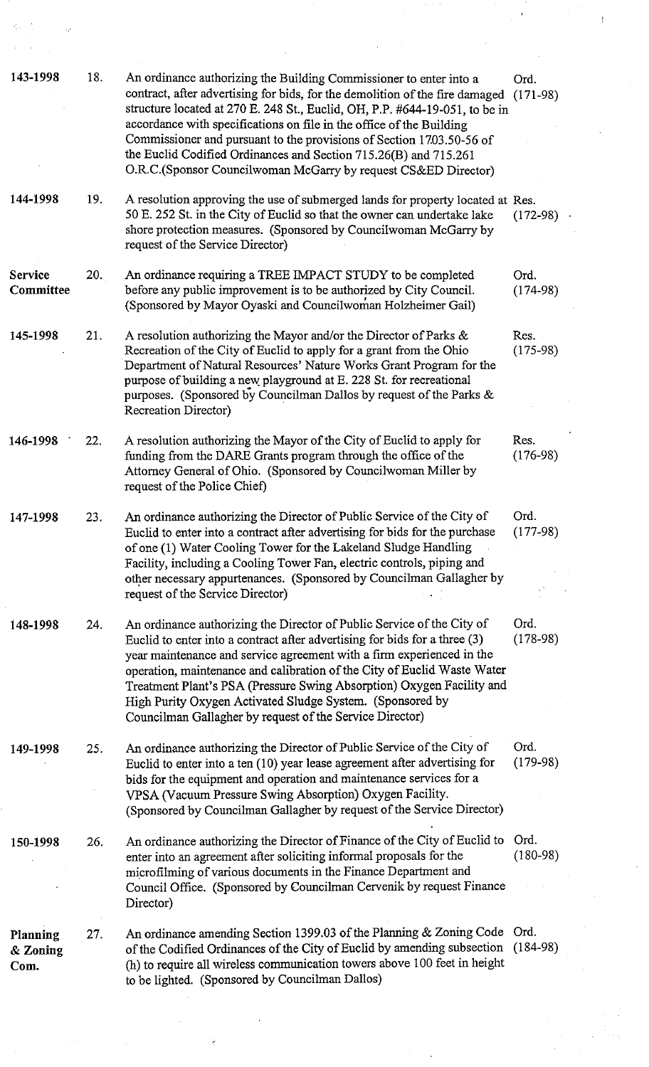| 143-1998                     | 18. | An ordinance authorizing the Building Commissioner to enter into a<br>contract, after advertising for bids, for the demolition of the fire damaged<br>structure located at 270 E. 248 St., Euclid, OH, P.P. #644-19-051, to be in<br>accordance with specifications on file in the office of the Building<br>Commissioner and pursuant to the provisions of Section 1703.50-56 of<br>the Euclid Codified Ordinances and Section 715.26(B) and 715.261                                                       | Ord.<br>$(171-98)$                                                                                                              |
|------------------------------|-----|-------------------------------------------------------------------------------------------------------------------------------------------------------------------------------------------------------------------------------------------------------------------------------------------------------------------------------------------------------------------------------------------------------------------------------------------------------------------------------------------------------------|---------------------------------------------------------------------------------------------------------------------------------|
|                              |     | O.R.C.(Sponsor Councilwoman McGarry by request CS&ED Director)                                                                                                                                                                                                                                                                                                                                                                                                                                              |                                                                                                                                 |
| 144-1998                     | 19. | A resolution approving the use of submerged lands for property located at Res.<br>50 E. 252 St. in the City of Euclid so that the owner can undertake lake<br>shore protection measures. (Sponsored by Councilwoman McGarry by<br>request of the Service Director)                                                                                                                                                                                                                                          | $(172-98)$                                                                                                                      |
| <b>Service</b><br>Committee  | 20. | An ordinance requiring a TREE IMPACT STUDY to be completed<br>before any public improvement is to be authorized by City Council.<br>(Sponsored by Mayor Oyaski and Councilwoman Holzheimer Gail)                                                                                                                                                                                                                                                                                                            | Ord.<br>$(174-98)$                                                                                                              |
| 145-1998                     | 21. | A resolution authorizing the Mayor and/or the Director of Parks &<br>Recreation of the City of Euclid to apply for a grant from the Ohio<br>Department of Natural Resources' Nature Works Grant Program for the<br>purpose of building a new playground at E. 228 St. for recreational<br>purposes. (Sponsored by Councilman Dallos by request of the Parks &<br>Recreation Director)                                                                                                                       | Res.<br>$(175-98)$                                                                                                              |
| 146-1998                     | 22. | A resolution authorizing the Mayor of the City of Euclid to apply for<br>funding from the DARE Grants program through the office of the<br>Attorney General of Ohio. (Sponsored by Councilwoman Miller by<br>request of the Police Chief)                                                                                                                                                                                                                                                                   | Res.<br>$(176-98)$                                                                                                              |
| 147-1998                     | 23. | An ordinance authorizing the Director of Public Service of the City of<br>Euclid to enter into a contract after advertising for bids for the purchase<br>of one (1) Water Cooling Tower for the Lakeland Sludge Handling<br>Facility, including a Cooling Tower Fan, electric controls, piping and<br>other necessary appurtenances. (Sponsored by Councilman Gallagher by<br>request of the Service Director)                                                                                              | Ord.<br>$(177-98)$                                                                                                              |
| 148-1998                     | 24. | An ordinance authorizing the Director of Public Service of the City of<br>Euclid to enter into a contract after advertising for bids for a three (3)<br>year maintenance and service agreement with a firm experienced in the<br>operation, maintenance and calibration of the City of Euclid Waste Water<br>Treatment Plant's PSA (Pressure Swing Absorption) Oxygen Facility and<br>High Purity Oxygen Activated Sludge System. (Sponsored by<br>Councilman Gallagher by request of the Service Director) | Ord.<br>$(178-98)$                                                                                                              |
| 149-1998                     | 25. | An ordinance authorizing the Director of Public Service of the City of<br>Euclid to enter into a ten (10) year lease agreement after advertising for<br>bids for the equipment and operation and maintenance services for a<br>VPSA (Vacuum Pressure Swing Absorption) Oxygen Facility.<br>(Sponsored by Councilman Gallagher by request of the Service Director)                                                                                                                                           | Ord.<br>$(179-98)$                                                                                                              |
| 150-1998                     | 26. | An ordinance authorizing the Director of Finance of the City of Euclid to<br>enter into an agreement after soliciting informal proposals for the<br>microfilming of various documents in the Finance Department and<br>Council Office. (Sponsored by Councilman Cervenik by request Finance<br>Director)                                                                                                                                                                                                    | Ord.<br>$(180-98)$                                                                                                              |
| Planning<br>& Zoning<br>Com. | 27. | An ordinance amending Section 1399.03 of the Planning & Zoning Code Ord.<br>of the Codified Ordinances of the City of Euclid by amending subsection (184-98)<br>(h) to require all wireless communication towers above 100 feet in height<br>to be lighted. (Sponsored by Councilman Dallos)                                                                                                                                                                                                                |                                                                                                                                 |
|                              |     | $\mathcal{L}^{\mathcal{L}}(\mathcal{L}^{\mathcal{L}})$ and the contract of the contract of the contract of the contract of the contract of the contract of the contract of the contract of the contract of the contract of the contract of the contrac                                                                                                                                                                                                                                                      | $\mathcal{L}^{\text{max}}_{\text{max}}$ and $\mathcal{L}^{\text{max}}_{\text{max}}$                                             |
|                              |     | $\label{eq:2.1} \frac{1}{\sqrt{2\pi}}\int_{\mathbb{R}^3}\frac{1}{\sqrt{2\pi}}\int_{\mathbb{R}^3}\frac{1}{\sqrt{2\pi}}\int_{\mathbb{R}^3}\frac{1}{\sqrt{2\pi}}\int_{\mathbb{R}^3}\frac{1}{\sqrt{2\pi}}\int_{\mathbb{R}^3}\frac{1}{\sqrt{2\pi}}\int_{\mathbb{R}^3}\frac{1}{\sqrt{2\pi}}\int_{\mathbb{R}^3}\frac{1}{\sqrt{2\pi}}\int_{\mathbb{R}^3}\frac{1}{\sqrt{2\pi}}\int_{\mathbb{R}^3}\frac{1$                                                                                                            | $\mathcal{L}(\mathcal{L}(\mathcal{L}))$ and $\mathcal{L}(\mathcal{L}(\mathcal{L}))$ and $\mathcal{L}(\mathcal{L}(\mathcal{L}))$ |

 $\label{eq:3.1} \frac{d^2\mathbf{v}}{d\mathbf{v}}\left(\frac{1}{\mathbf{v}}\right) = \frac{1}{\mathbf{v}}\left(\frac{\mathbf{v}}{\mathbf{v}}\right)$ 

 $\label{eq:2.1} \begin{split} \mathcal{L}^{(1)}(t) & = \mathcal{L}^{(1)}(t) \,, \end{split}$ 

 $\frac{1}{2}$ 

 $\mathcal{L}^{\text{max}}_{\text{max}}$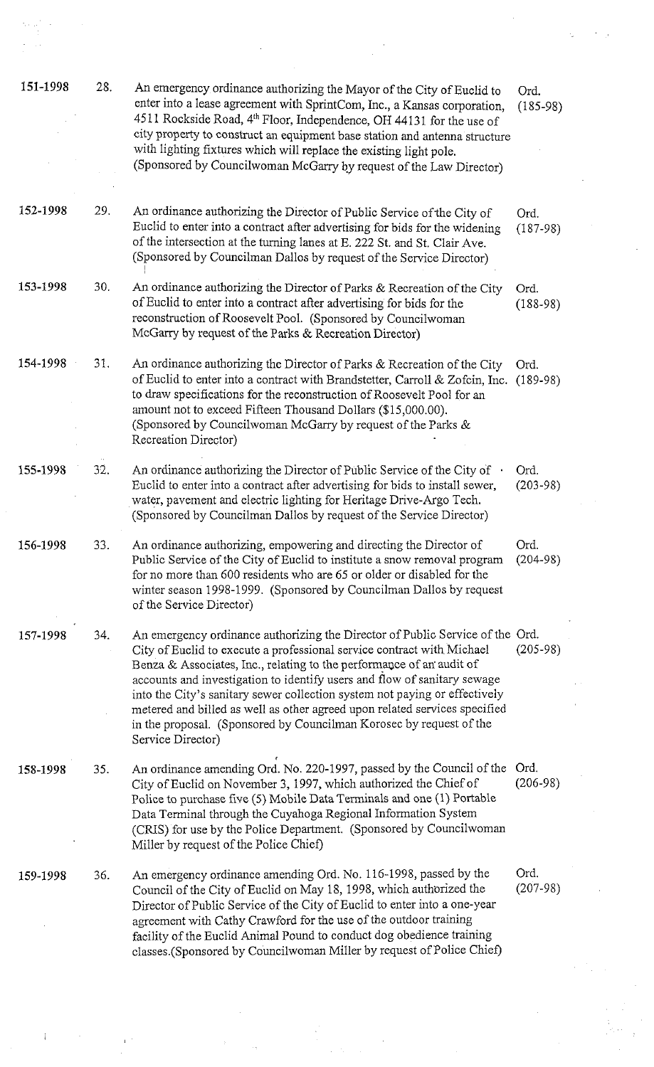| 151-1998 | 28. | An emergency ordinance authorizing the Mayor of the City of Euclid to<br>enter into a lease agreement with SprintCom, Inc., a Kansas corporation,<br>4511 Rockside Road, 4 <sup>th</sup> Floor, Independence, OH 44131 for the use of<br>city property to construct an equipment base station and antenna structure<br>with lighting fixtures which will replace the existing light pole.<br>(Sponsored by Councilwoman McGarry by request of the Law Director)                                                                                                     | Ord.<br>$(185-98)$   |  |
|----------|-----|---------------------------------------------------------------------------------------------------------------------------------------------------------------------------------------------------------------------------------------------------------------------------------------------------------------------------------------------------------------------------------------------------------------------------------------------------------------------------------------------------------------------------------------------------------------------|----------------------|--|
|          |     |                                                                                                                                                                                                                                                                                                                                                                                                                                                                                                                                                                     |                      |  |
| 152-1998 | 29. | An ordinance authorizing the Director of Public Service of the City of<br>Euclid to enter into a contract after advertising for bids for the widening<br>of the intersection at the turning lanes at E. 222 St. and St. Clair Ave.<br>(Sponsored by Councilman Dallos by request of the Service Director)                                                                                                                                                                                                                                                           | Ord.<br>$(187-98)$   |  |
| 153-1998 | 30. | An ordinance authorizing the Director of Parks & Recreation of the City<br>of Euclid to enter into a contract after advertising for bids for the<br>reconstruction of Roosevelt Pool. (Sponsored by Councilwoman<br>McGarry by request of the Parks & Recreation Director)                                                                                                                                                                                                                                                                                          | Ord.<br>$(188-98)$   |  |
| 154-1998 | 31. | An ordinance authorizing the Director of Parks & Recreation of the City<br>of Euclid to enter into a contract with Brandstetter, Carroll & Zofcin, Inc.<br>to draw specifications for the reconstruction of Roosevelt Pool for an<br>amount not to exceed Fifteen Thousand Dollars (\$15,000.00).<br>(Sponsored by Councilwoman McGarry by request of the Parks &<br>Recreation Director)                                                                                                                                                                           | Ord.<br>$(189-98)$   |  |
| 155-1998 | 32. | An ordinance authorizing the Director of Public Service of the City of $\cdot$<br>Euclid to enter into a contract after advertising for bids to install sewer,<br>water, pavement and electric lighting for Heritage Drive-Argo Tech.<br>(Sponsored by Councilman Dallos by request of the Service Director)                                                                                                                                                                                                                                                        | Ord.<br>$(203 - 98)$ |  |
| 156-1998 | 33. | An ordinance authorizing, empowering and directing the Director of<br>Public Service of the City of Euclid to institute a snow removal program<br>for no more than 600 residents who are 65 or older or disabled for the<br>winter season 1998-1999. (Sponsored by Councilman Dallos by request<br>of the Service Director)                                                                                                                                                                                                                                         | Ord.<br>$(204 - 98)$ |  |
| 157-1998 | 34. | An emergency ordinance authorizing the Director of Public Service of the Ord.<br>City of Euclid to execute a professional service contract with Michael<br>Benza & Associates, Inc., relating to the performance of an audit of<br>accounts and investigation to identify users and flow of sanitary sewage<br>into the City's sanitary sewer collection system not paying or effectively<br>metered and billed as well as other agreed upon related services specified<br>in the proposal. (Sponsored by Councilman Korosec by request of the<br>Service Director) | $(205-98)$           |  |
| 158-1998 | 35. | An ordinance amending Ord. No. 220-1997, passed by the Council of the<br>City of Euclid on November 3, 1997, which authorized the Chief of<br>Police to purchase five (5) Mobile Data Terminals and one (1) Portable<br>Data Terminal through the Cuyahoga Regional Information System<br>(CRIS) for use by the Police Department. (Sponsored by Councilwoman<br>Miller by request of the Police Chief)                                                                                                                                                             | Ord.<br>$(206-98)$   |  |
| 159-1998 | 36. | An emergency ordinance amending Ord. No. 116-1998, passed by the<br>Council of the City of Euclid on May 18, 1998, which authorized the<br>Director of Public Service of the City of Euclid to enter into a one-year<br>agreement with Cathy Crawford for the use of the outdoor training<br>facility of the Euclid Animal Pound to conduct dog obedience training<br>classes. (Sponsored by Councilwoman Miller by request of Police Chief)                                                                                                                        | Ord.<br>$(207 - 98)$ |  |